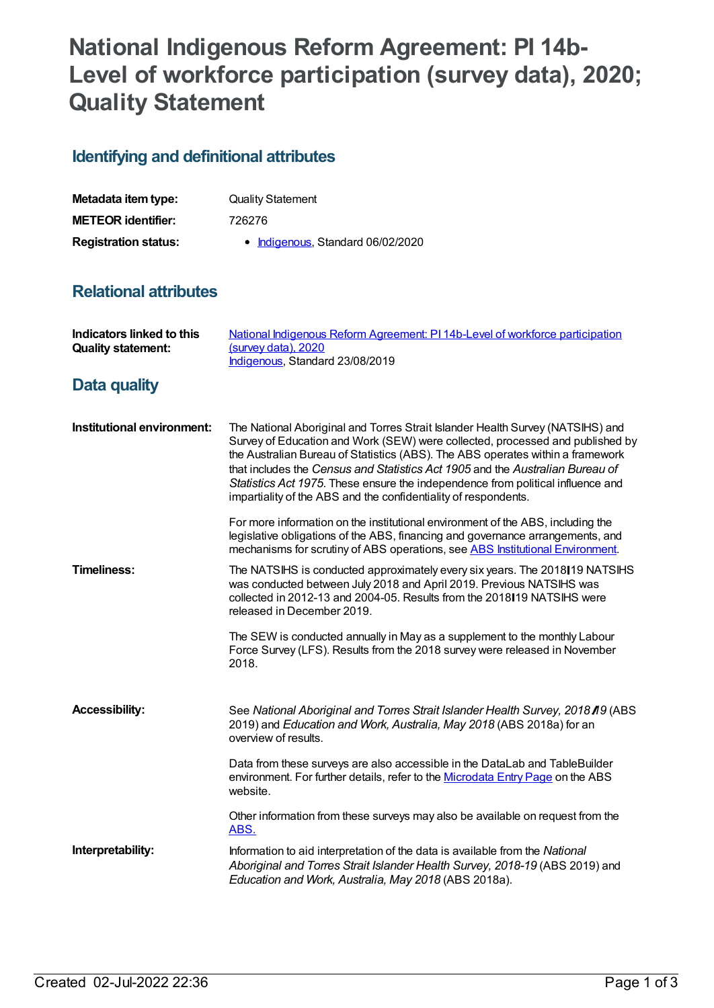## **National Indigenous Reform Agreement: PI 14b-Level of workforce participation (survey data), 2020; Quality Statement**

## **Identifying and definitional attributes**

| Metadata item type:         | <b>Quality Statement</b>          |
|-----------------------------|-----------------------------------|
| <b>METEOR identifier:</b>   | 726276                            |
| <b>Registration status:</b> | • Indigenous, Standard 06/02/2020 |

## **Relational attributes**

| Indicators linked to this<br><b>Quality statement:</b> | National Indigenous Reform Agreement: PI 14b-Level of workforce participation<br>(survey data), 2020<br>Indigenous, Standard 23/08/2019                                                                                                                                                                                                                                                                                                                                                  |
|--------------------------------------------------------|------------------------------------------------------------------------------------------------------------------------------------------------------------------------------------------------------------------------------------------------------------------------------------------------------------------------------------------------------------------------------------------------------------------------------------------------------------------------------------------|
| Data quality                                           |                                                                                                                                                                                                                                                                                                                                                                                                                                                                                          |
| Institutional environment:                             | The National Aboriginal and Torres Strait Islander Health Survey (NATSIHS) and<br>Survey of Education and Work (SEW) were collected, processed and published by<br>the Australian Bureau of Statistics (ABS). The ABS operates within a framework<br>that includes the Census and Statistics Act 1905 and the Australian Bureau of<br>Statistics Act 1975. These ensure the independence from political influence and<br>impartiality of the ABS and the confidentiality of respondents. |
|                                                        | For more information on the institutional environment of the ABS, including the<br>legislative obligations of the ABS, financing and governance arrangements, and<br>mechanisms for scrutiny of ABS operations, see ABS Institutional Environment.                                                                                                                                                                                                                                       |
| <b>Timeliness:</b>                                     | The NATSIHS is conducted approximately every six years. The 2018 19 NATSIHS<br>was conducted between July 2018 and April 2019. Previous NATSIHS was<br>collected in 2012-13 and 2004-05. Results from the 2018 19 NATSIHS were<br>released in December 2019.                                                                                                                                                                                                                             |
|                                                        | The SEW is conducted annually in May as a supplement to the monthly Labour<br>Force Survey (LFS). Results from the 2018 survey were released in November<br>2018.                                                                                                                                                                                                                                                                                                                        |
| <b>Accessibility:</b>                                  | See National Aboriginal and Torres Strait Islander Health Survey, 2018 / 19 (ABS)<br>2019) and Education and Work, Australia, May 2018 (ABS 2018a) for an<br>overview of results.                                                                                                                                                                                                                                                                                                        |
|                                                        | Data from these surveys are also accessible in the DataLab and TableBuilder<br>environment. For further details, refer to the Microdata Entry Page on the ABS<br>website.                                                                                                                                                                                                                                                                                                                |
|                                                        | Other information from these surveys may also be available on request from the<br>ABS.                                                                                                                                                                                                                                                                                                                                                                                                   |
| Interpretability:                                      | Information to aid interpretation of the data is available from the National<br>Aboriginal and Torres Strait Islander Health Survey, 2018-19 (ABS 2019) and<br>Education and Work, Australia, May 2018 (ABS 2018a).                                                                                                                                                                                                                                                                      |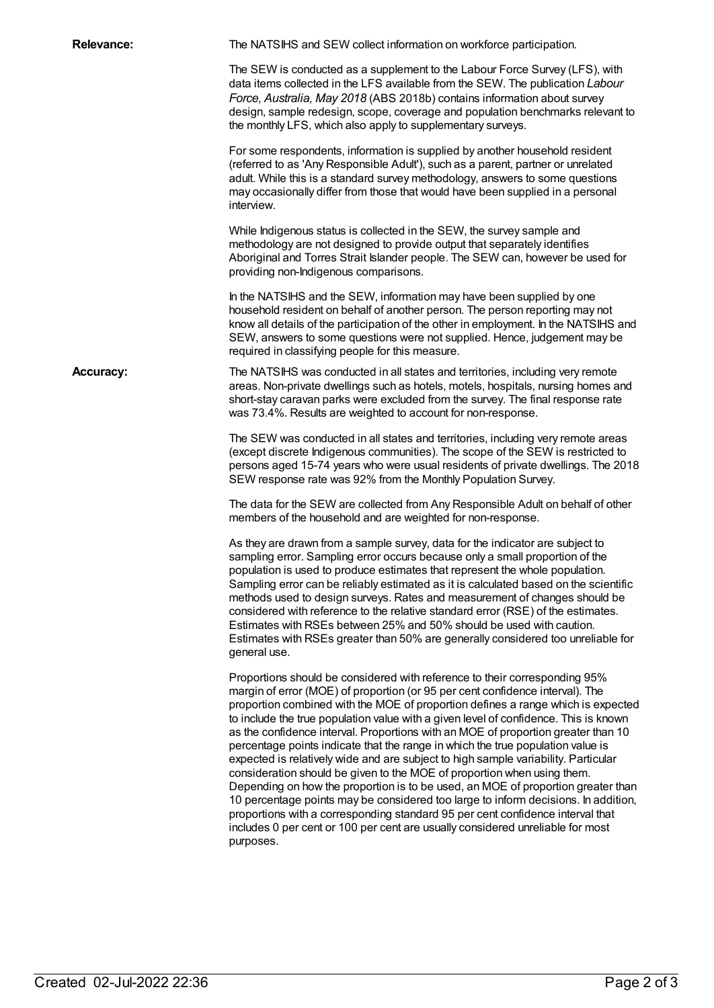| <b>Relevance:</b> | The NATSIHS and SEW collect information on workforce participation.                                                                                                                                                                                                                                                                                                                                                                                                                                                                                                                                                                                                                                                                                                                                                                                                                                                                                                                                                                         |
|-------------------|---------------------------------------------------------------------------------------------------------------------------------------------------------------------------------------------------------------------------------------------------------------------------------------------------------------------------------------------------------------------------------------------------------------------------------------------------------------------------------------------------------------------------------------------------------------------------------------------------------------------------------------------------------------------------------------------------------------------------------------------------------------------------------------------------------------------------------------------------------------------------------------------------------------------------------------------------------------------------------------------------------------------------------------------|
|                   | The SEW is conducted as a supplement to the Labour Force Survey (LFS), with<br>data items collected in the LFS available from the SEW. The publication Labour<br>Force, Australia, May 2018 (ABS 2018b) contains information about survey<br>design, sample redesign, scope, coverage and population benchmarks relevant to<br>the monthly LFS, which also apply to supplementary surveys.                                                                                                                                                                                                                                                                                                                                                                                                                                                                                                                                                                                                                                                  |
|                   | For some respondents, information is supplied by another household resident<br>(referred to as 'Any Responsible Adult'), such as a parent, partner or unrelated<br>adult. While this is a standard survey methodology, answers to some questions<br>may occasionally differ from those that would have been supplied in a personal<br>interview.                                                                                                                                                                                                                                                                                                                                                                                                                                                                                                                                                                                                                                                                                            |
|                   | While Indigenous status is collected in the SEW, the survey sample and<br>methodology are not designed to provide output that separately identifies<br>Aboriginal and Torres Strait Islander people. The SEW can, however be used for<br>providing non-Indigenous comparisons.                                                                                                                                                                                                                                                                                                                                                                                                                                                                                                                                                                                                                                                                                                                                                              |
|                   | In the NATSIHS and the SEW, information may have been supplied by one<br>household resident on behalf of another person. The person reporting may not<br>know all details of the participation of the other in employment. In the NATSIHS and<br>SEW, answers to some questions were not supplied. Hence, judgement may be<br>required in classifying people for this measure.                                                                                                                                                                                                                                                                                                                                                                                                                                                                                                                                                                                                                                                              |
| <b>Accuracy:</b>  | The NATSIHS was conducted in all states and territories, including very remote<br>areas. Non-private dwellings such as hotels, motels, hospitals, nursing homes and<br>short-stay caravan parks were excluded from the survey. The final response rate<br>was 73.4%. Results are weighted to account for non-response.                                                                                                                                                                                                                                                                                                                                                                                                                                                                                                                                                                                                                                                                                                                      |
|                   | The SEW was conducted in all states and territories, including very remote areas<br>(except discrete Indigenous communities). The scope of the SEW is restricted to<br>persons aged 15-74 years who were usual residents of private dwellings. The 2018<br>SEW response rate was 92% from the Monthly Population Survey.                                                                                                                                                                                                                                                                                                                                                                                                                                                                                                                                                                                                                                                                                                                    |
|                   | The data for the SEW are collected from Any Responsible Adult on behalf of other<br>members of the household and are weighted for non-response.                                                                                                                                                                                                                                                                                                                                                                                                                                                                                                                                                                                                                                                                                                                                                                                                                                                                                             |
|                   | As they are drawn from a sample survey, data for the indicator are subject to<br>sampling error. Sampling error occurs because only a small proportion of the<br>population is used to produce estimates that represent the whole population.<br>Sampling error can be reliably estimated as it is calculated based on the scientific<br>methods used to design surveys. Rates and measurement of changes should be<br>considered with reference to the relative standard error (RSE) of the estimates.<br>Estimates with RSEs between 25% and 50% should be used with caution.<br>Estimates with RSEs greater than 50% are generally considered too unreliable for<br>general use.                                                                                                                                                                                                                                                                                                                                                         |
|                   | Proportions should be considered with reference to their corresponding 95%<br>margin of error (MOE) of proportion (or 95 per cent confidence interval). The<br>proportion combined with the MOE of proportion defines a range which is expected<br>to include the true population value with a given level of confidence. This is known<br>as the confidence interval. Proportions with an MOE of proportion greater than 10<br>percentage points indicate that the range in which the true population value is<br>expected is relatively wide and are subject to high sample variability. Particular<br>consideration should be given to the MOE of proportion when using them.<br>Depending on how the proportion is to be used, an MOE of proportion greater than<br>10 percentage points may be considered too large to inform decisions. In addition,<br>proportions with a corresponding standard 95 per cent confidence interval that<br>includes 0 per cent or 100 per cent are usually considered unreliable for most<br>purposes. |